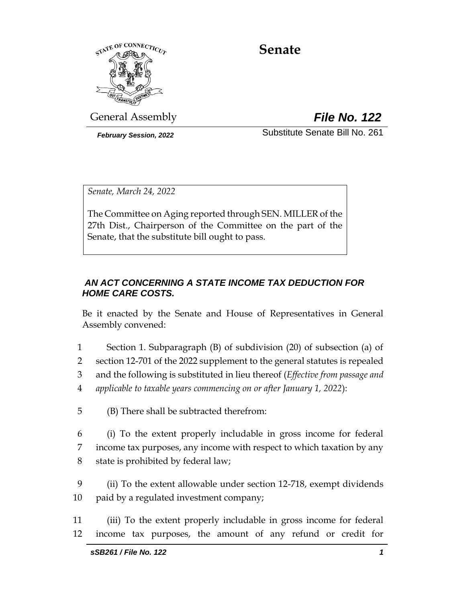

# **Senate**

General Assembly *File No. 122*

*February Session, 2022* Substitute Senate Bill No. 261

*Senate, March 24, 2022*

The Committee on Aging reported through SEN. MILLER of the 27th Dist., Chairperson of the Committee on the part of the Senate, that the substitute bill ought to pass.

# *AN ACT CONCERNING A STATE INCOME TAX DEDUCTION FOR HOME CARE COSTS.*

Be it enacted by the Senate and House of Representatives in General Assembly convened:

- 1 Section 1. Subparagraph (B) of subdivision (20) of subsection (a) of 2 section 12-701 of the 2022 supplement to the general statutes is repealed
- 3 and the following is substituted in lieu thereof (*Effective from passage and*
- 
- 4 *applicable to taxable years commencing on or after January 1, 2022*):
- 5 (B) There shall be subtracted therefrom:
- 6 (i) To the extent properly includable in gross income for federal 7 income tax purposes, any income with respect to which taxation by any 8 state is prohibited by federal law;
- 9 (ii) To the extent allowable under section 12-718, exempt dividends 10 paid by a regulated investment company;
- 11 (iii) To the extent properly includable in gross income for federal 12 income tax purposes, the amount of any refund or credit for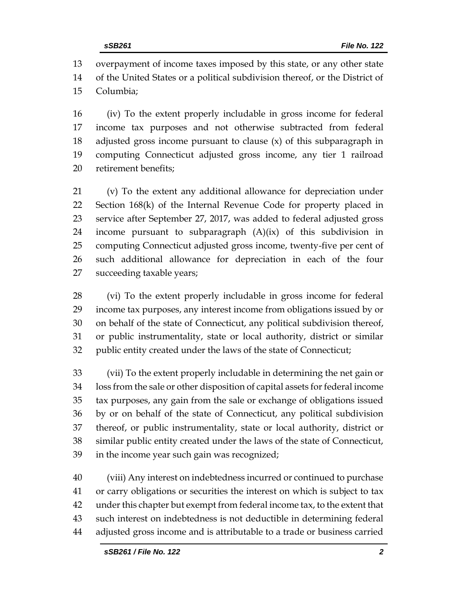overpayment of income taxes imposed by this state, or any other state of the United States or a political subdivision thereof, or the District of Columbia;

 (iv) To the extent properly includable in gross income for federal income tax purposes and not otherwise subtracted from federal adjusted gross income pursuant to clause (x) of this subparagraph in computing Connecticut adjusted gross income, any tier 1 railroad retirement benefits;

 (v) To the extent any additional allowance for depreciation under Section 168(k) of the Internal Revenue Code for property placed in service after September 27, 2017, was added to federal adjusted gross income pursuant to subparagraph (A)(ix) of this subdivision in computing Connecticut adjusted gross income, twenty-five per cent of such additional allowance for depreciation in each of the four succeeding taxable years;

 (vi) To the extent properly includable in gross income for federal income tax purposes, any interest income from obligations issued by or on behalf of the state of Connecticut, any political subdivision thereof, or public instrumentality, state or local authority, district or similar public entity created under the laws of the state of Connecticut;

 (vii) To the extent properly includable in determining the net gain or loss from the sale or other disposition of capital assets for federal income tax purposes, any gain from the sale or exchange of obligations issued by or on behalf of the state of Connecticut, any political subdivision thereof, or public instrumentality, state or local authority, district or similar public entity created under the laws of the state of Connecticut, in the income year such gain was recognized;

 (viii) Any interest on indebtedness incurred or continued to purchase or carry obligations or securities the interest on which is subject to tax under this chapter but exempt from federal income tax, to the extent that such interest on indebtedness is not deductible in determining federal adjusted gross income and is attributable to a trade or business carried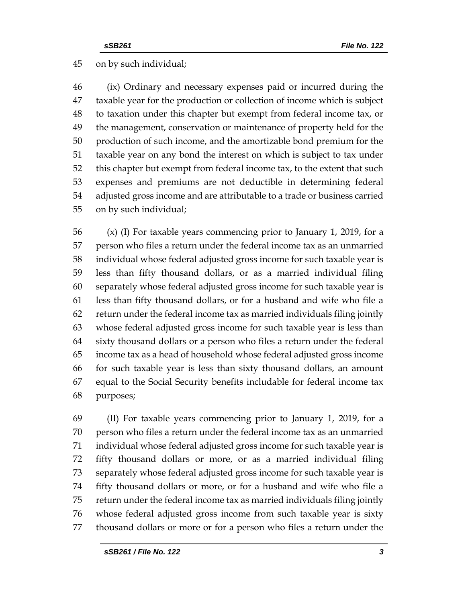# on by such individual;

 (ix) Ordinary and necessary expenses paid or incurred during the taxable year for the production or collection of income which is subject to taxation under this chapter but exempt from federal income tax, or the management, conservation or maintenance of property held for the production of such income, and the amortizable bond premium for the taxable year on any bond the interest on which is subject to tax under this chapter but exempt from federal income tax, to the extent that such expenses and premiums are not deductible in determining federal adjusted gross income and are attributable to a trade or business carried on by such individual;

 (x) (I) For taxable years commencing prior to January 1, 2019, for a person who files a return under the federal income tax as an unmarried individual whose federal adjusted gross income for such taxable year is less than fifty thousand dollars, or as a married individual filing separately whose federal adjusted gross income for such taxable year is less than fifty thousand dollars, or for a husband and wife who file a return under the federal income tax as married individuals filing jointly whose federal adjusted gross income for such taxable year is less than sixty thousand dollars or a person who files a return under the federal income tax as a head of household whose federal adjusted gross income for such taxable year is less than sixty thousand dollars, an amount equal to the Social Security benefits includable for federal income tax purposes;

 (II) For taxable years commencing prior to January 1, 2019, for a person who files a return under the federal income tax as an unmarried individual whose federal adjusted gross income for such taxable year is fifty thousand dollars or more, or as a married individual filing separately whose federal adjusted gross income for such taxable year is fifty thousand dollars or more, or for a husband and wife who file a return under the federal income tax as married individuals filing jointly whose federal adjusted gross income from such taxable year is sixty thousand dollars or more or for a person who files a return under the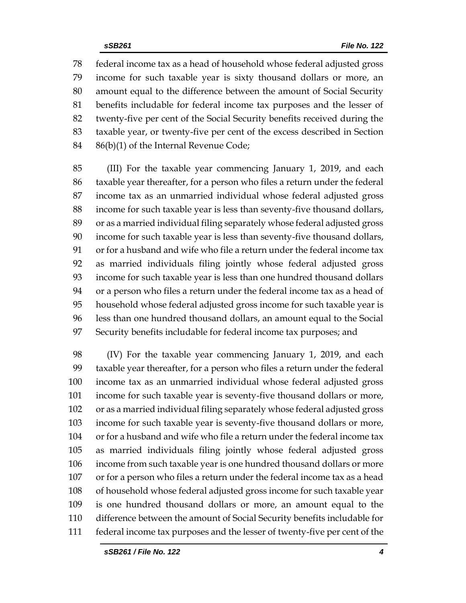federal income tax as a head of household whose federal adjusted gross income for such taxable year is sixty thousand dollars or more, an amount equal to the difference between the amount of Social Security benefits includable for federal income tax purposes and the lesser of twenty-five per cent of the Social Security benefits received during the taxable year, or twenty-five per cent of the excess described in Section 86(b)(1) of the Internal Revenue Code;

 (III) For the taxable year commencing January 1, 2019, and each taxable year thereafter, for a person who files a return under the federal income tax as an unmarried individual whose federal adjusted gross income for such taxable year is less than seventy-five thousand dollars, or as a married individual filing separately whose federal adjusted gross income for such taxable year is less than seventy-five thousand dollars, or for a husband and wife who file a return under the federal income tax as married individuals filing jointly whose federal adjusted gross income for such taxable year is less than one hundred thousand dollars or a person who files a return under the federal income tax as a head of household whose federal adjusted gross income for such taxable year is less than one hundred thousand dollars, an amount equal to the Social Security benefits includable for federal income tax purposes; and

 (IV) For the taxable year commencing January 1, 2019, and each taxable year thereafter, for a person who files a return under the federal income tax as an unmarried individual whose federal adjusted gross income for such taxable year is seventy-five thousand dollars or more, or as a married individual filing separately whose federal adjusted gross income for such taxable year is seventy-five thousand dollars or more, or for a husband and wife who file a return under the federal income tax as married individuals filing jointly whose federal adjusted gross income from such taxable year is one hundred thousand dollars or more or for a person who files a return under the federal income tax as a head of household whose federal adjusted gross income for such taxable year is one hundred thousand dollars or more, an amount equal to the difference between the amount of Social Security benefits includable for federal income tax purposes and the lesser of twenty-five per cent of the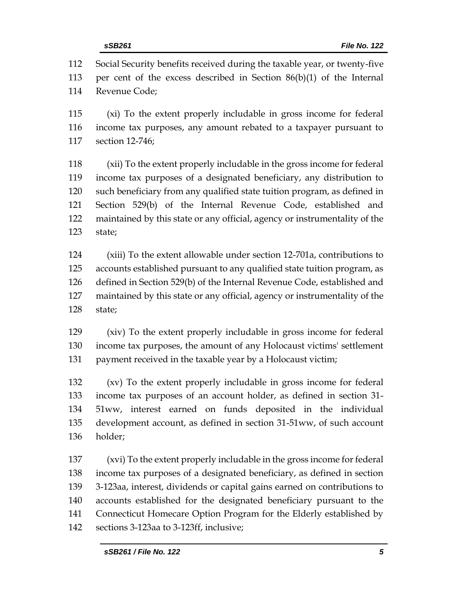Social Security benefits received during the taxable year, or twenty-five per cent of the excess described in Section 86(b)(1) of the Internal Revenue Code;

 (xi) To the extent properly includable in gross income for federal income tax purposes, any amount rebated to a taxpayer pursuant to section 12-746;

 (xii) To the extent properly includable in the gross income for federal income tax purposes of a designated beneficiary, any distribution to such beneficiary from any qualified state tuition program, as defined in Section 529(b) of the Internal Revenue Code, established and maintained by this state or any official, agency or instrumentality of the state;

 (xiii) To the extent allowable under section 12-701a, contributions to accounts established pursuant to any qualified state tuition program, as defined in Section 529(b) of the Internal Revenue Code, established and maintained by this state or any official, agency or instrumentality of the state;

 (xiv) To the extent properly includable in gross income for federal income tax purposes, the amount of any Holocaust victims' settlement payment received in the taxable year by a Holocaust victim;

 (xv) To the extent properly includable in gross income for federal income tax purposes of an account holder, as defined in section 31- 51ww, interest earned on funds deposited in the individual development account, as defined in section 31-51ww, of such account holder;

 (xvi) To the extent properly includable in the gross income for federal income tax purposes of a designated beneficiary, as defined in section 3-123aa, interest, dividends or capital gains earned on contributions to accounts established for the designated beneficiary pursuant to the Connecticut Homecare Option Program for the Elderly established by sections 3-123aa to 3-123ff, inclusive;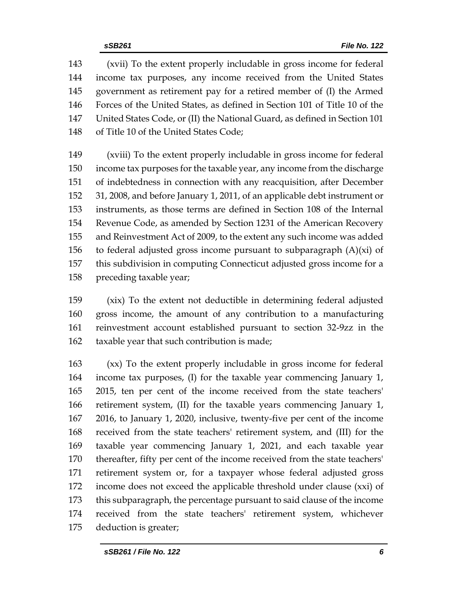(xvii) To the extent properly includable in gross income for federal income tax purposes, any income received from the United States government as retirement pay for a retired member of (I) the Armed Forces of the United States, as defined in Section 101 of Title 10 of the United States Code, or (II) the National Guard, as defined in Section 101 of Title 10 of the United States Code;

 (xviii) To the extent properly includable in gross income for federal income tax purposes for the taxable year, any income from the discharge of indebtedness in connection with any reacquisition, after December 31, 2008, and before January 1, 2011, of an applicable debt instrument or instruments, as those terms are defined in Section 108 of the Internal Revenue Code, as amended by Section 1231 of the American Recovery and Reinvestment Act of 2009, to the extent any such income was added 156 to federal adjusted gross income pursuant to subparagraph  $(A)(xi)$  of this subdivision in computing Connecticut adjusted gross income for a preceding taxable year;

 (xix) To the extent not deductible in determining federal adjusted gross income, the amount of any contribution to a manufacturing reinvestment account established pursuant to section 32-9zz in the taxable year that such contribution is made;

 (xx) To the extent properly includable in gross income for federal income tax purposes, (I) for the taxable year commencing January 1, 2015, ten per cent of the income received from the state teachers' retirement system, (II) for the taxable years commencing January 1, 2016, to January 1, 2020, inclusive, twenty-five per cent of the income received from the state teachers' retirement system, and (III) for the taxable year commencing January 1, 2021, and each taxable year thereafter, fifty per cent of the income received from the state teachers' retirement system or, for a taxpayer whose federal adjusted gross income does not exceed the applicable threshold under clause (xxi) of this subparagraph, the percentage pursuant to said clause of the income received from the state teachers' retirement system, whichever deduction is greater;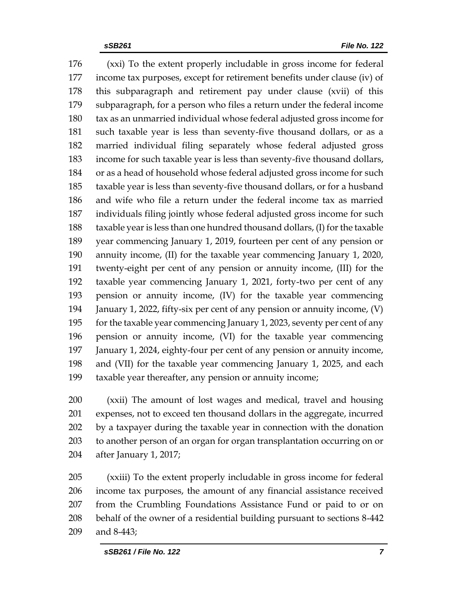(xxi) To the extent properly includable in gross income for federal income tax purposes, except for retirement benefits under clause (iv) of this subparagraph and retirement pay under clause (xvii) of this subparagraph, for a person who files a return under the federal income tax as an unmarried individual whose federal adjusted gross income for such taxable year is less than seventy-five thousand dollars, or as a married individual filing separately whose federal adjusted gross income for such taxable year is less than seventy-five thousand dollars, or as a head of household whose federal adjusted gross income for such taxable year is less than seventy-five thousand dollars, or for a husband and wife who file a return under the federal income tax as married individuals filing jointly whose federal adjusted gross income for such taxable year is less than one hundred thousand dollars, (I) for the taxable year commencing January 1, 2019, fourteen per cent of any pension or annuity income, (II) for the taxable year commencing January 1, 2020, twenty-eight per cent of any pension or annuity income, (III) for the taxable year commencing January 1, 2021, forty-two per cent of any pension or annuity income, (IV) for the taxable year commencing January 1, 2022, fifty-six per cent of any pension or annuity income, (V) for the taxable year commencing January 1, 2023, seventy per cent of any pension or annuity income, (VI) for the taxable year commencing January 1, 2024, eighty-four per cent of any pension or annuity income, and (VII) for the taxable year commencing January 1, 2025, and each taxable year thereafter, any pension or annuity income;

 (xxii) The amount of lost wages and medical, travel and housing expenses, not to exceed ten thousand dollars in the aggregate, incurred by a taxpayer during the taxable year in connection with the donation to another person of an organ for organ transplantation occurring on or after January 1, 2017;

 (xxiii) To the extent properly includable in gross income for federal income tax purposes, the amount of any financial assistance received from the Crumbling Foundations Assistance Fund or paid to or on behalf of the owner of a residential building pursuant to sections 8-442 and 8-443;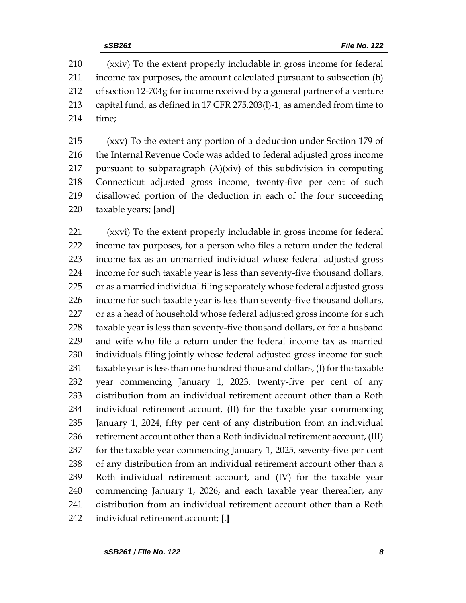(xxiv) To the extent properly includable in gross income for federal income tax purposes, the amount calculated pursuant to subsection (b) of section 12-704g for income received by a general partner of a venture capital fund, as defined in 17 CFR 275.203(l)-1, as amended from time to time;

 (xxv) To the extent any portion of a deduction under Section 179 of 216 the Internal Revenue Code was added to federal adjusted gross income 217 pursuant to subparagraph  $(A)(xiv)$  of this subdivision in computing Connecticut adjusted gross income, twenty-five per cent of such disallowed portion of the deduction in each of the four succeeding taxable years; **[**and**]**

 (xxvi) To the extent properly includable in gross income for federal income tax purposes, for a person who files a return under the federal income tax as an unmarried individual whose federal adjusted gross income for such taxable year is less than seventy-five thousand dollars, or as a married individual filing separately whose federal adjusted gross income for such taxable year is less than seventy-five thousand dollars, 227 or as a head of household whose federal adjusted gross income for such taxable year is less than seventy-five thousand dollars, or for a husband and wife who file a return under the federal income tax as married individuals filing jointly whose federal adjusted gross income for such taxable year is less than one hundred thousand dollars, (I) for the taxable year commencing January 1, 2023, twenty-five per cent of any distribution from an individual retirement account other than a Roth individual retirement account, (II) for the taxable year commencing January 1, 2024, fifty per cent of any distribution from an individual 236 retirement account other than a Roth individual retirement account, (III) for the taxable year commencing January 1, 2025, seventy-five per cent of any distribution from an individual retirement account other than a Roth individual retirement account, and (IV) for the taxable year commencing January 1, 2026, and each taxable year thereafter, any distribution from an individual retirement account other than a Roth individual retirement account; **[**.**]**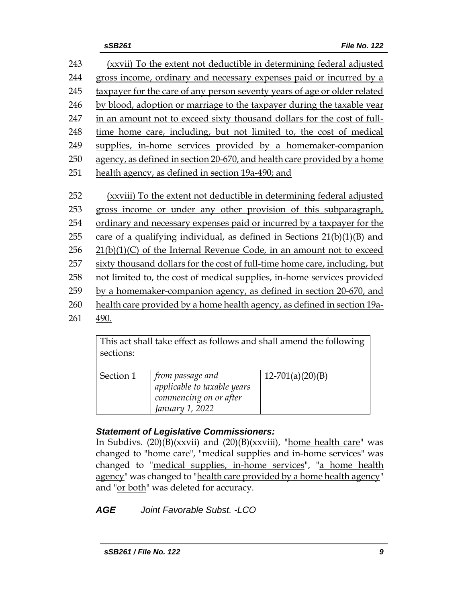(xxvii) To the extent not deductible in determining federal adjusted gross income, ordinary and necessary expenses paid or incurred by a taxpayer for the care of any person seventy years of age or older related by blood, adoption or marriage to the taxpayer during the taxable year in an amount not to exceed sixty thousand dollars for the cost of full- time home care, including, but not limited to, the cost of medical supplies, in-home services provided by a homemaker-companion agency, as defined in section 20-670, and health care provided by a home health agency, as defined in section 19a-490; and (xxviii) To the extent not deductible in determining federal adjusted gross income or under any other provision of this subparagraph, ordinary and necessary expenses paid or incurred by a taxpayer for the 255 care of a qualifying individual, as defined in Sections  $21(b)(1)(B)$  and  $21(b)(1)(C)$  of the Internal Revenue Code, in an amount not to exceed sixty thousand dollars for the cost of full-time home care, including, but not limited to, the cost of medical supplies, in-home services provided by a homemaker-companion agency, as defined in section 20-670, and health care provided by a home health agency, as defined in section 19a-261 490.

> This act shall take effect as follows and shall amend the following sections:

| from passage and            | $12-701(a)(20)(B)$ |
|-----------------------------|--------------------|
| applicable to taxable years |                    |
| commencing on or after      |                    |
| January 1, 2022             |                    |
|                             |                    |

# *Statement of Legislative Commissioners:*

In Subdivs.  $(20)(B)(xxvii)$  and  $(20)(B)(xxviii)$ , "home health care" was changed to "home care", "medical supplies and in-home services" was changed to "medical supplies, in-home services", "a home health agency" was changed to "health care provided by a home health agency" and "or both" was deleted for accuracy.

*AGE Joint Favorable Subst. -LCO*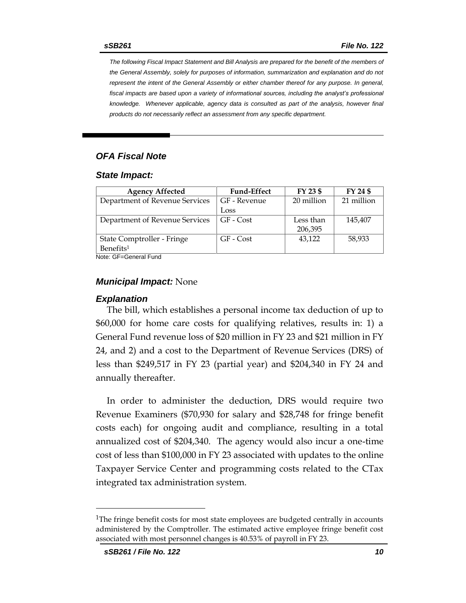*The following Fiscal Impact Statement and Bill Analysis are prepared for the benefit of the members of the General Assembly, solely for purposes of information, summarization and explanation and do not represent the intent of the General Assembly or either chamber thereof for any purpose. In general,*  fiscal impacts are based upon a variety of informational sources, including the analyst's professional *knowledge. Whenever applicable, agency data is consulted as part of the analysis, however final products do not necessarily reflect an assessment from any specific department.*

# *OFA Fiscal Note*

#### *State Impact:*

| <b>Agency Affected</b>         | <b>Fund-Effect</b> | FY 23 \$   | FY 24 \$   |
|--------------------------------|--------------------|------------|------------|
| Department of Revenue Services | GF - Revenue       | 20 million | 21 million |
|                                | Loss               |            |            |
| Department of Revenue Services | GF - Cost          | Less than  | 145,407    |
|                                |                    | 206,395    |            |
| State Comptroller - Fringe     | GF - Cost          | 43,122     | 58,933     |
| Benefits <sup>1</sup>          |                    |            |            |

Note: GF=General Fund

### *Municipal Impact:* None

#### *Explanation*

The bill, which establishes a personal income tax deduction of up to \$60,000 for home care costs for qualifying relatives, results in: 1) a General Fund revenue loss of \$20 million in FY 23 and \$21 million in FY 24, and 2) and a cost to the Department of Revenue Services (DRS) of less than \$249,517 in FY 23 (partial year) and \$204,340 in FY 24 and annually thereafter.

In order to administer the deduction, DRS would require two Revenue Examiners (\$70,930 for salary and \$28,748 for fringe benefit costs each) for ongoing audit and compliance, resulting in a total annualized cost of \$204,340. The agency would also incur a one-time cost of less than \$100,000 in FY 23 associated with updates to the online Taxpayer Service Center and programming costs related to the CTax integrated tax administration system.

<sup>&</sup>lt;sup>1</sup>The fringe benefit costs for most state employees are budgeted centrally in accounts administered by the Comptroller. The estimated active employee fringe benefit cost associated with most personnel changes is 40.53% of payroll in FY 23.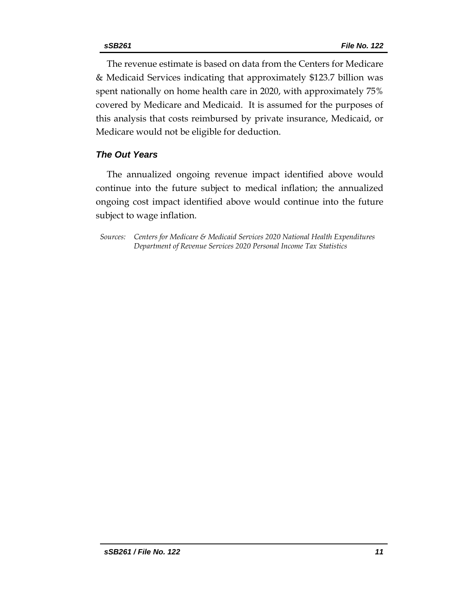The revenue estimate is based on data from the Centers for Medicare & Medicaid Services indicating that approximately \$123.7 billion was spent nationally on home health care in 2020, with approximately 75% covered by Medicare and Medicaid. It is assumed for the purposes of this analysis that costs reimbursed by private insurance, Medicaid, or Medicare would not be eligible for deduction.

# *The Out Years*

The annualized ongoing revenue impact identified above would continue into the future subject to medical inflation; the annualized ongoing cost impact identified above would continue into the future subject to wage inflation.

*Sources: Centers for Medicare & Medicaid Services 2020 National Health Expenditures Department of Revenue Services 2020 Personal Income Tax Statistics*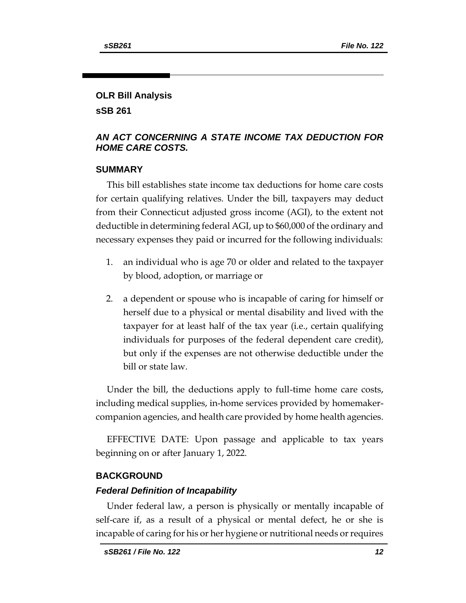# **OLR Bill Analysis**

**sSB 261**

# *AN ACT CONCERNING A STATE INCOME TAX DEDUCTION FOR HOME CARE COSTS.*

# **SUMMARY**

This bill establishes state income tax deductions for home care costs for certain qualifying relatives. Under the bill, taxpayers may deduct from their Connecticut adjusted gross income (AGI), to the extent not deductible in determining federal AGI, up to \$60,000 of the ordinary and necessary expenses they paid or incurred for the following individuals:

- 1. an individual who is age 70 or older and related to the taxpayer by blood, adoption, or marriage or
- 2. a dependent or spouse who is incapable of caring for himself or herself due to a physical or mental disability and lived with the taxpayer for at least half of the tax year (i.e., certain qualifying individuals for purposes of the federal dependent care credit), but only if the expenses are not otherwise deductible under the bill or state law.

Under the bill, the deductions apply to full-time home care costs, including medical supplies, in-home services provided by homemakercompanion agencies, and health care provided by home health agencies.

EFFECTIVE DATE: Upon passage and applicable to tax years beginning on or after January 1, 2022.

# **BACKGROUND**

# *Federal Definition of Incapability*

Under federal law, a person is physically or mentally incapable of self-care if, as a result of a physical or mental defect, he or she is incapable of caring for his or her hygiene or nutritional needs or requires